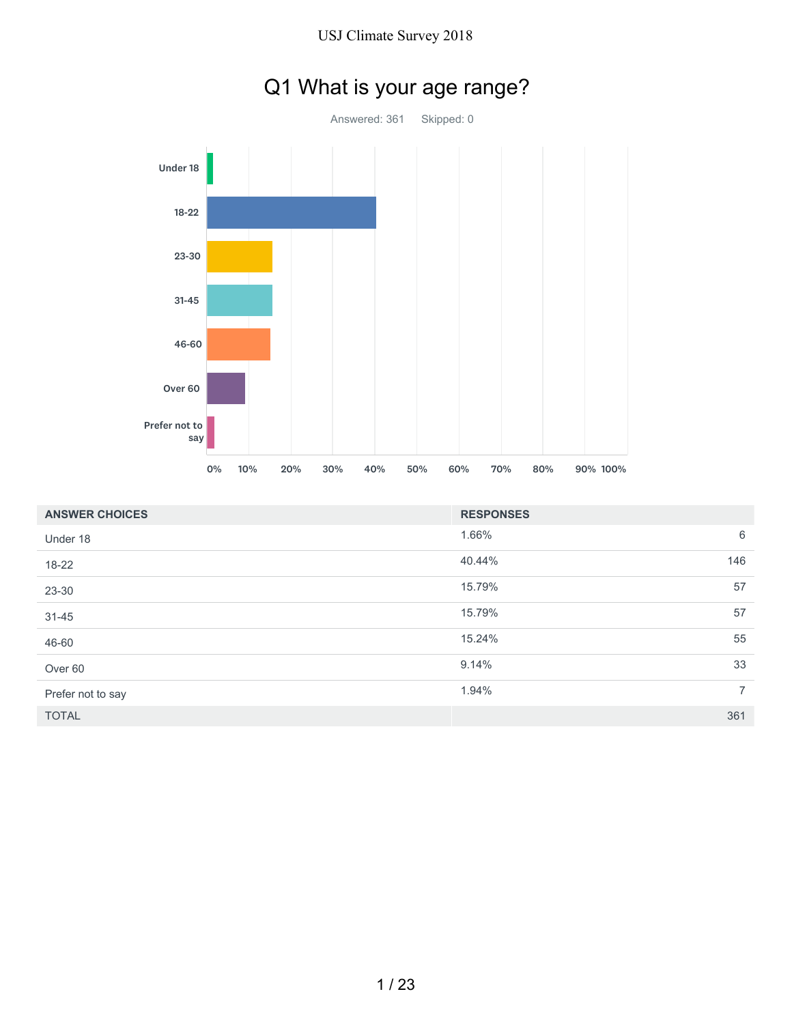

|  |  |  |  |  | Q1 What is your age range? |
|--|--|--|--|--|----------------------------|
|--|--|--|--|--|----------------------------|

| <b>ANSWER CHOICES</b> | <b>RESPONSES</b> |                |
|-----------------------|------------------|----------------|
| Under 18              | 1.66%            | 6              |
| 18-22                 | 40.44%           | 146            |
| 23-30                 | 15.79%           | 57             |
| $31 - 45$             | 15.79%           | 57             |
| 46-60                 | 15.24%           | 55             |
| Over <sub>60</sub>    | 9.14%            | 33             |
| Prefer not to say     | 1.94%            | $\overline{7}$ |
| <b>TOTAL</b>          |                  | 361            |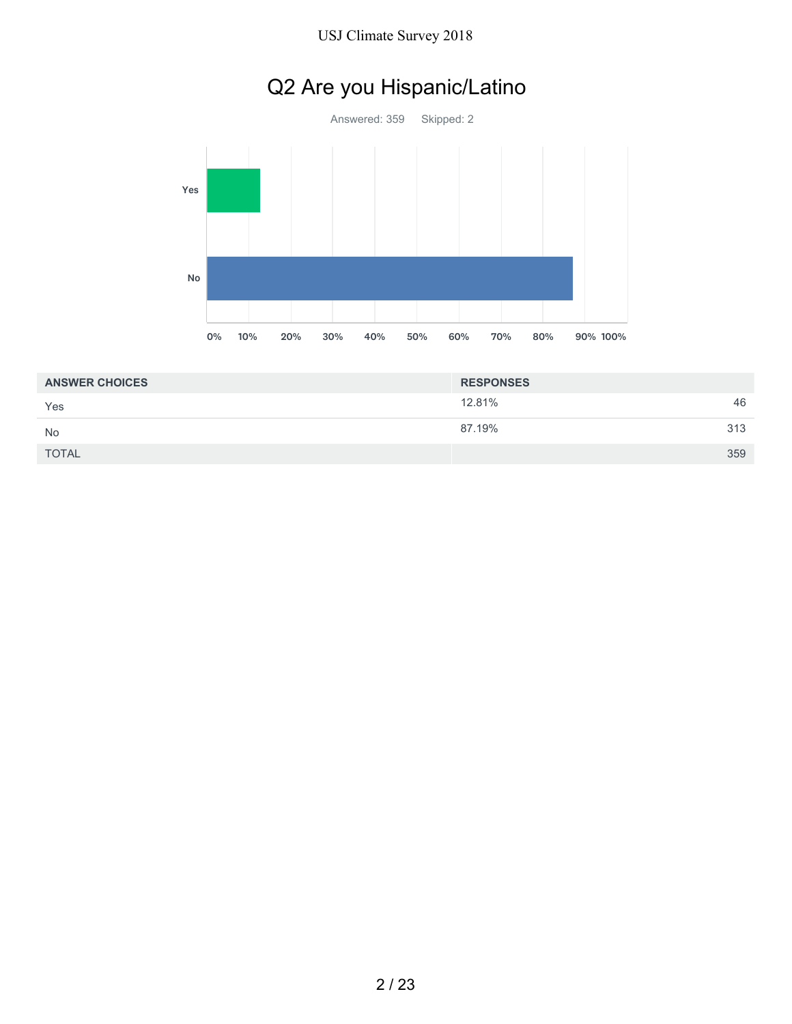# Q2 Are you Hispanic/Latino



| <b>ANSWER CHOICES</b> | <b>RESPONSES</b> |     |
|-----------------------|------------------|-----|
| Yes                   | 12.81%           | 46  |
| <b>No</b>             | 87.19%           | 313 |
| <b>TOTAL</b>          |                  | 359 |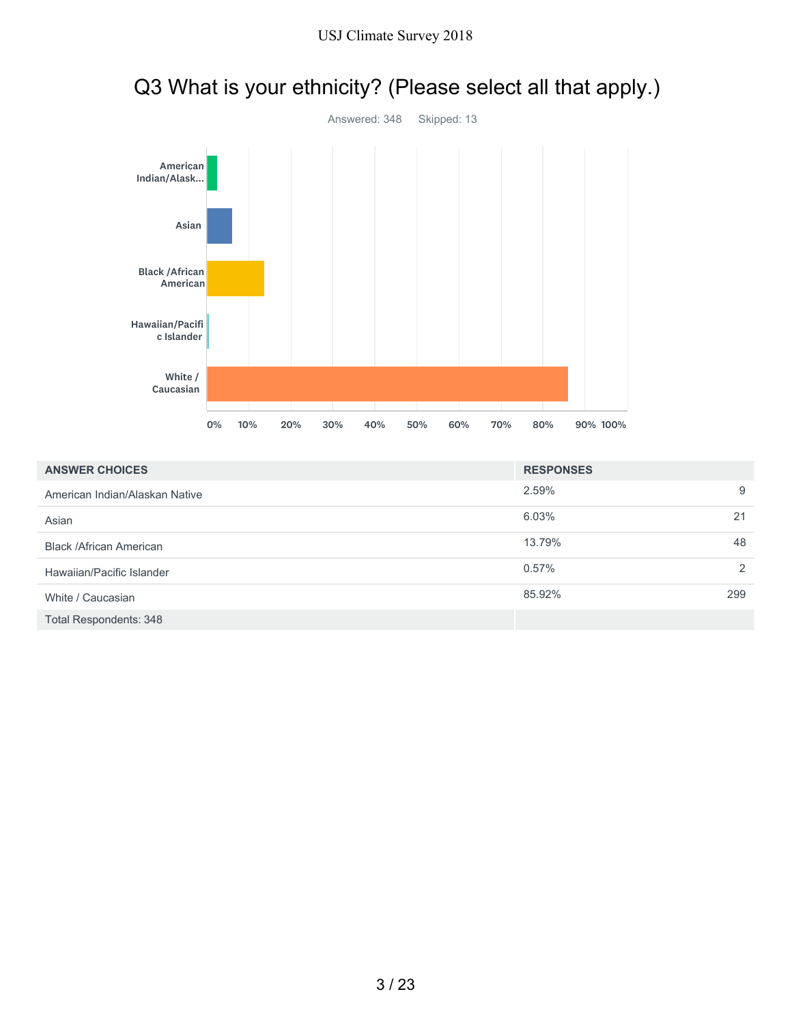

# Q3 What is your ethnicity? (Please select all that apply.)

| <b>ANSWER CHOICES</b>          | <b>RESPONSES</b> |               |
|--------------------------------|------------------|---------------|
| American Indian/Alaskan Native | 2.59%            | 9             |
| Asian                          | 6.03%            | 21            |
| <b>Black /African American</b> | 13.79%           | 48            |
| Hawaiian/Pacific Islander      | $0.57\%$         | $\mathcal{P}$ |
| White / Caucasian              | 85.92%           | 299           |
| Total Respondents: 348         |                  |               |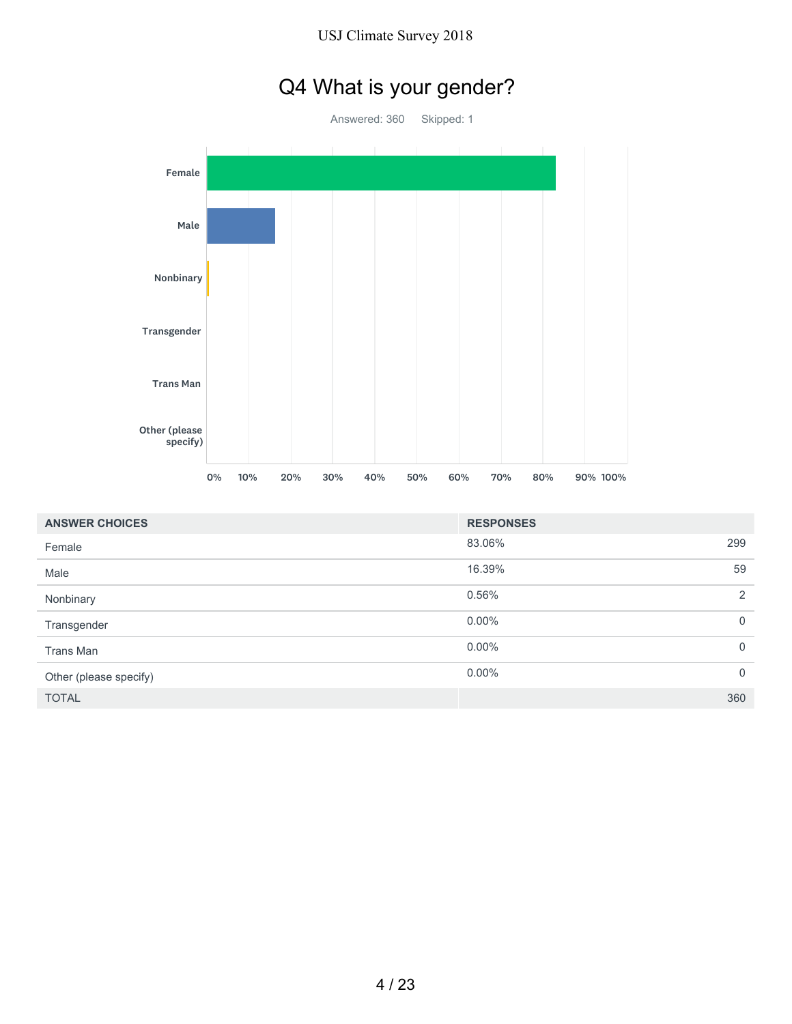# Q4 What is your gender?

Answered: 360 Skipped: 1 Female Male Nonbinary Transgender Trans Man Other (please specify) 0% 10% 20% 30% 40% 50% 60% 70% 80% 90% 100%

| <b>ANSWER CHOICES</b>  | <b>RESPONSES</b> |             |
|------------------------|------------------|-------------|
| Female                 | 83.06%<br>299    |             |
| Male                   | 16.39%           | 59          |
| Nonbinary              | 0.56%            | 2           |
| Transgender            | $0.00\%$         | $\mathbf 0$ |
| Trans Man              | $0.00\%$         | $\mathbf 0$ |
| Other (please specify) | $0.00\%$         | $\mathbf 0$ |
| <b>TOTAL</b>           | 360              |             |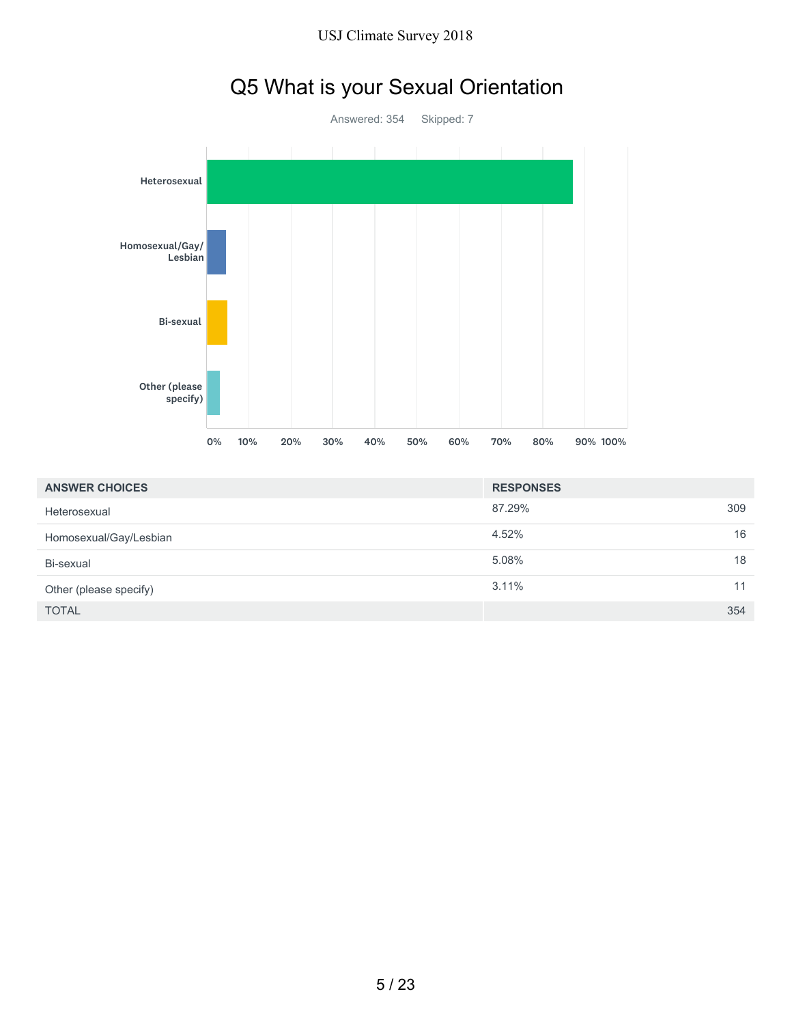



|  | Q5 What is your Sexual Orientation |
|--|------------------------------------|
|--|------------------------------------|

| <b>ANSWER CHOICES</b>  | <b>RESPONSES</b> |     |
|------------------------|------------------|-----|
| Heterosexual           | 87.29%           | 309 |
| Homosexual/Gay/Lesbian | 4.52%            | 16  |
| Bi-sexual              | 5.08%            | 18  |
| Other (please specify) | $3.11\%$         | 11  |
| <b>TOTAL</b>           |                  | 354 |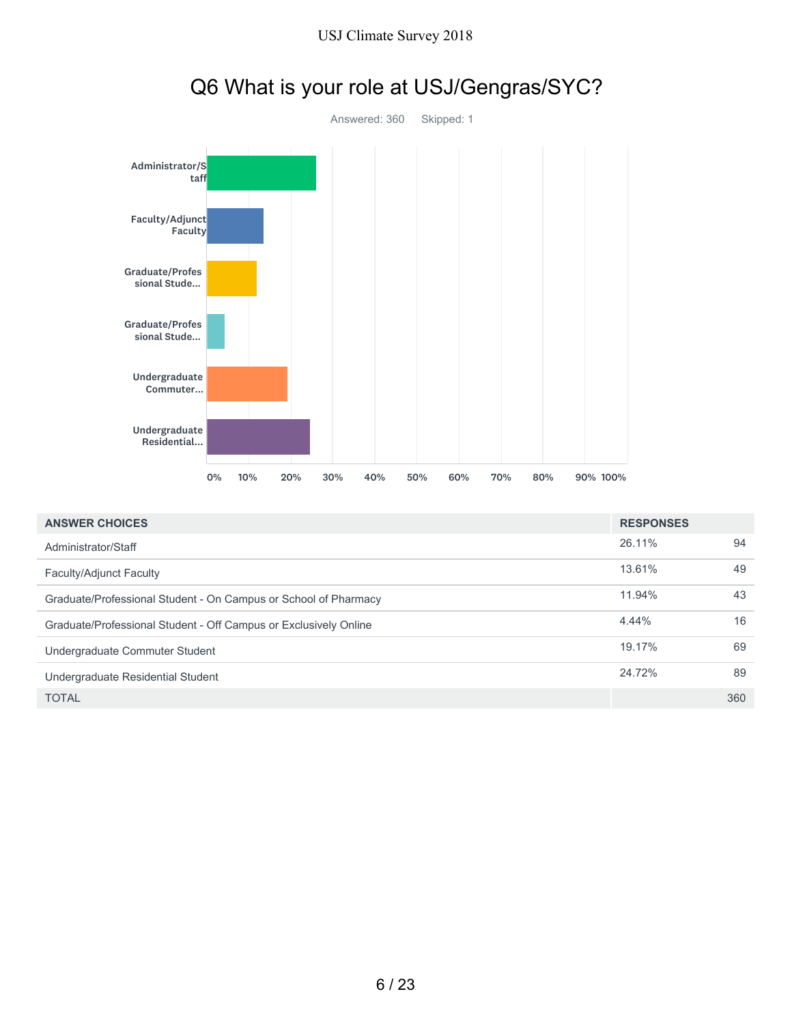

| <b>ANSWER CHOICES</b>                                            | <b>RESPONSES</b> |     |
|------------------------------------------------------------------|------------------|-----|
| Administrator/Staff                                              | 26.11%           | 94  |
| Faculty/Adjunct Faculty                                          | 13.61%           | 49  |
| Graduate/Professional Student - On Campus or School of Pharmacy  | 11.94%           | 43  |
| Graduate/Professional Student - Off Campus or Exclusively Online | 4.44%            | 16  |
| Undergraduate Commuter Student                                   | 19.17%           | 69  |
| Undergraduate Residential Student                                | 24.72%           | 89  |
| TOTAL                                                            |                  | 360 |

# Q6 What is your role at USJ/Gengras/SYC?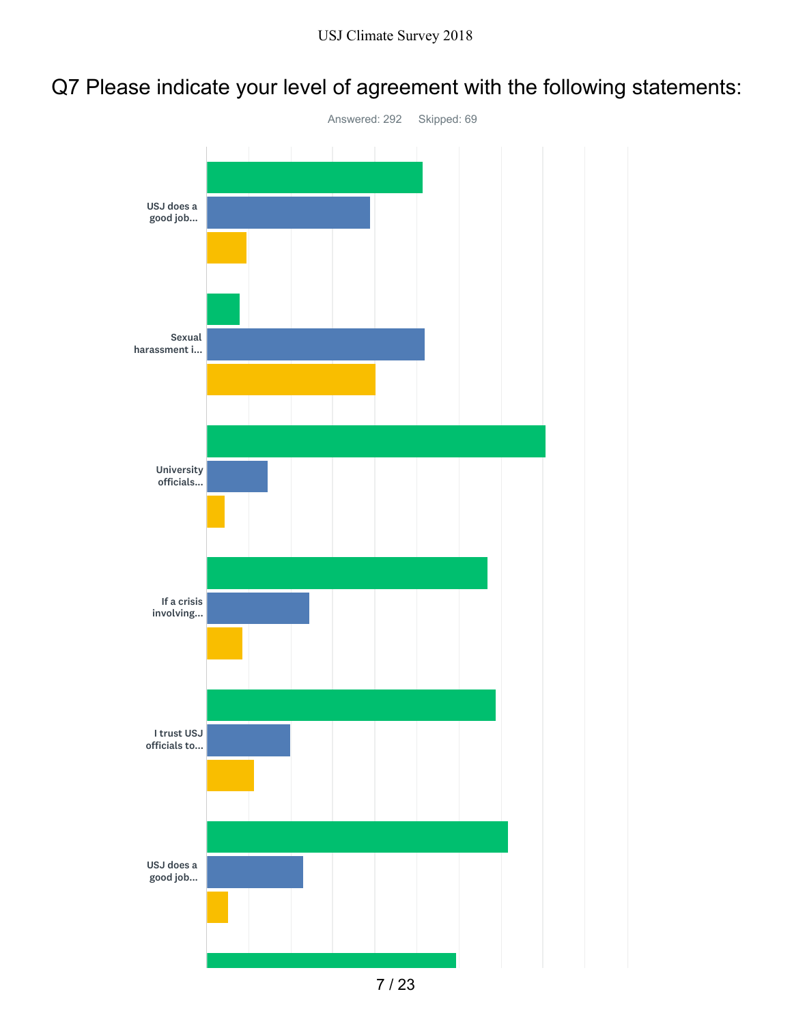### Q7 Please indicate your level of agreement with the following statements:

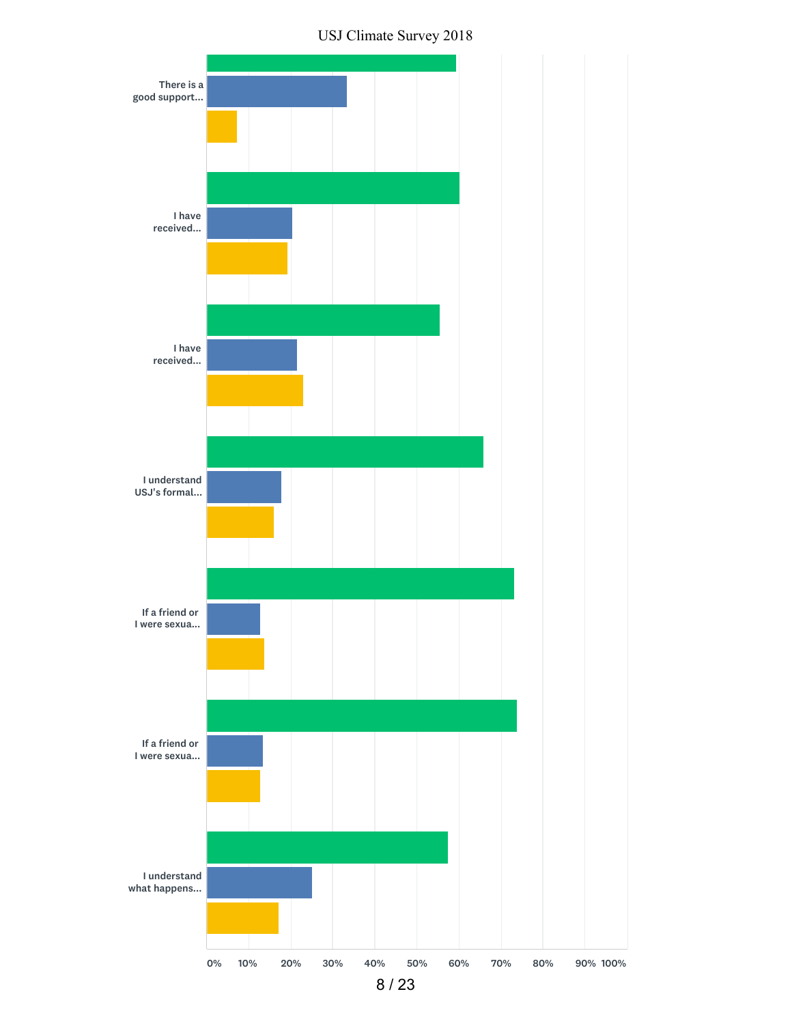

USJ Climate Survey 2018

0% 10% 20% 30% 40% 50% 60% 70% 80% 90% 100%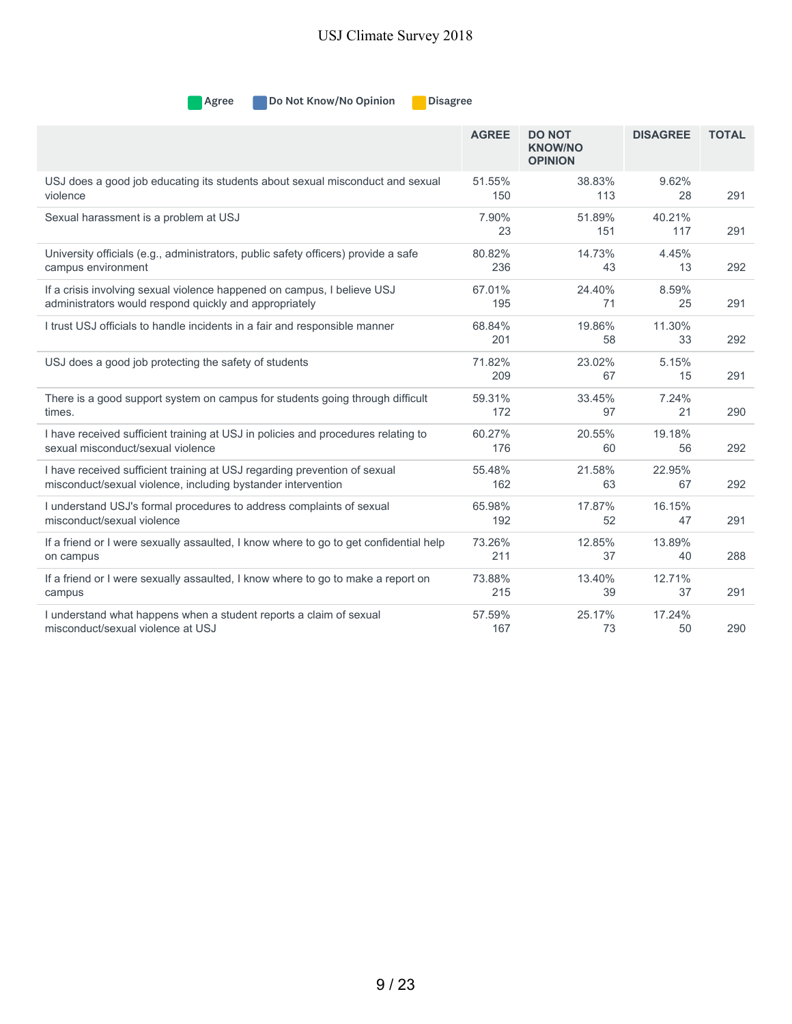**Agree** Do Not Know/No Opinion Disagree

|                                                                                       | <b>AGREE</b>  | <b>DO NOT</b><br><b>KNOW/NO</b><br><b>OPINION</b> | <b>DISAGREE</b> | <b>TOTAL</b> |
|---------------------------------------------------------------------------------------|---------------|---------------------------------------------------|-----------------|--------------|
| USJ does a good job educating its students about sexual misconduct and sexual         | 51.55%        | 38.83%                                            | 9.62%           | 291          |
| violence                                                                              | 150           | 113                                               | 28              |              |
| Sexual harassment is a problem at USJ                                                 | 7.90%<br>23   | 51.89%<br>151                                     | 40.21%<br>117   | 291          |
| University officials (e.g., administrators, public safety officers) provide a safe    | 80.82%        | 14.73%                                            | 4.45%           | 292          |
| campus environment                                                                    | 236           | 43                                                | 13              |              |
| If a crisis involving sexual violence happened on campus, I believe USJ               | 67.01%        | 24.40%                                            | 8.59%           | 291          |
| administrators would respond quickly and appropriately                                | 195           | 71                                                | 25              |              |
| I trust USJ officials to handle incidents in a fair and responsible manner            | 68.84%<br>201 | 19.86%<br>58                                      | 11.30%<br>33    | 292          |
| USJ does a good job protecting the safety of students                                 | 71.82%<br>209 | 23.02%<br>67                                      | 5.15%<br>15     | 291          |
| There is a good support system on campus for students going through difficult         | 59.31%        | 33.45%                                            | 7.24%           | 290          |
| times.                                                                                | 172           | 97                                                | 21              |              |
| I have received sufficient training at USJ in policies and procedures relating to     | 60.27%        | 20.55%                                            | 19.18%          | 292          |
| sexual misconduct/sexual violence                                                     | 176           | 60                                                | 56              |              |
| I have received sufficient training at USJ regarding prevention of sexual             | 55.48%        | 21.58%                                            | 22.95%          | 292          |
| misconduct/sexual violence, including bystander intervention                          | 162           | 63                                                | 67              |              |
| I understand USJ's formal procedures to address complaints of sexual                  | 65.98%        | 17.87%                                            | 16.15%          | 291          |
| misconduct/sexual violence                                                            | 192           | 52                                                | 47              |              |
| If a friend or I were sexually assaulted, I know where to go to get confidential help | 73.26%        | 12.85%                                            | 13.89%          | 288          |
| on campus                                                                             | 211           | 37                                                | 40              |              |
| If a friend or I were sexually assaulted, I know where to go to make a report on      | 73.88%        | 13.40%                                            | 12.71%          | 291          |
| campus                                                                                | 215           | 39                                                | 37              |              |
| I understand what happens when a student reports a claim of sexual                    | 57.59%        | 25.17%                                            | 17.24%          | 290          |
| misconduct/sexual violence at USJ                                                     | 167           | 73                                                | 50              |              |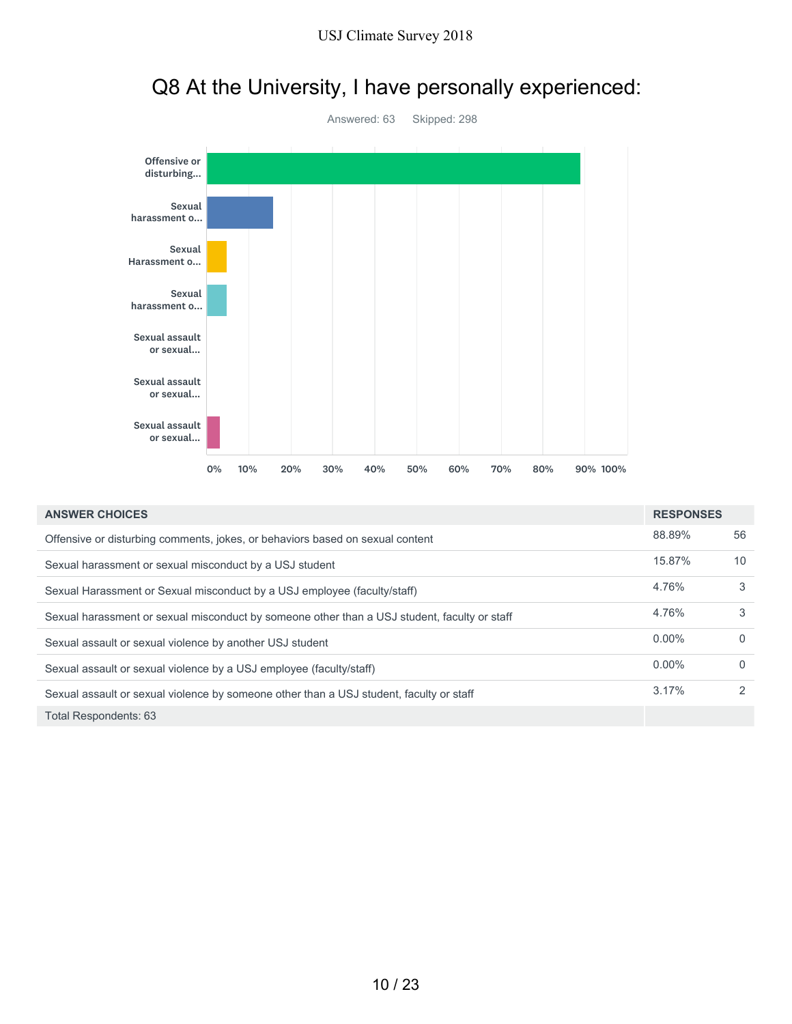

## Q8 At the University, I have personally experienced:

| <b>ANSWER CHOICES</b>                                                                        | <b>RESPONSES</b> |              |
|----------------------------------------------------------------------------------------------|------------------|--------------|
| Offensive or disturbing comments, jokes, or behaviors based on sexual content                | 88.89%           | 56           |
| Sexual harassment or sexual misconduct by a USJ student                                      | 15.87%           | 10           |
| Sexual Harassment or Sexual misconduct by a USJ employee (faculty/staff)                     | 4.76%            | 3            |
| Sexual harassment or sexual misconduct by someone other than a USJ student, faculty or staff | 4.76%            | 3            |
| Sexual assault or sexual violence by another USJ student                                     | $0.00\%$         | $\Omega$     |
| Sexual assault or sexual violence by a USJ employee (faculty/staff)                          | $0.00\%$         | $\mathbf{0}$ |
| Sexual assault or sexual violence by someone other than a USJ student, faculty or staff      | 3.17%            | 2            |
| Total Respondents: 63                                                                        |                  |              |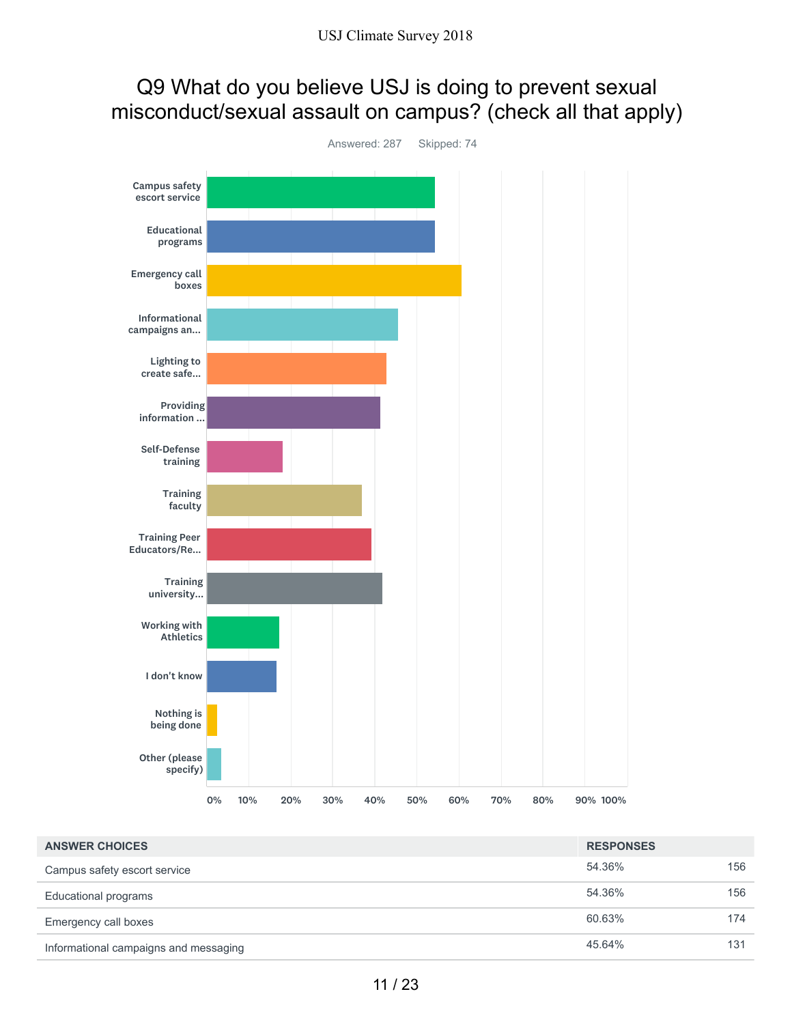### Q9 What do you believe USJ is doing to prevent sexual misconduct/sexual assault on campus? (check all that apply)



| <b>ANSWER CHOICES</b>                 | <b>RESPONSES</b> |     |
|---------------------------------------|------------------|-----|
| Campus safety escort service          | 54.36%           | 156 |
| Educational programs                  | 54.36%           | 156 |
| Emergency call boxes                  | 60.63%           | 174 |
| Informational campaigns and messaging | 45.64%           | 131 |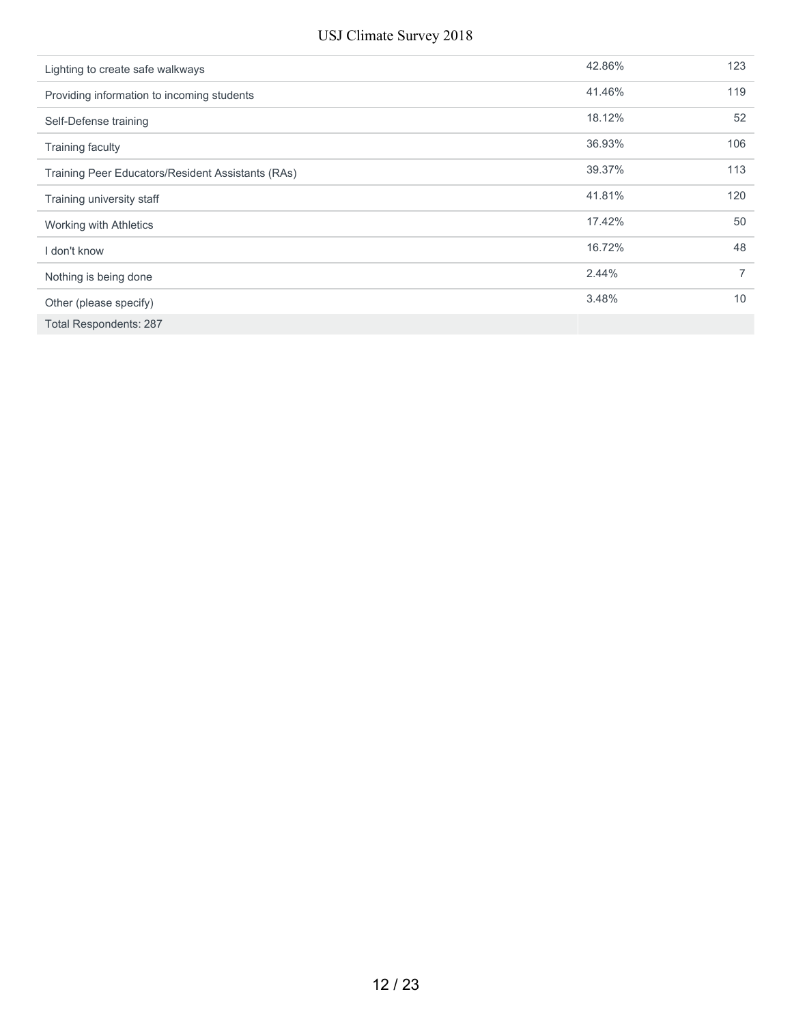| Lighting to create safe walkways                  | 42.86% | 123            |
|---------------------------------------------------|--------|----------------|
| Providing information to incoming students        | 41.46% | 119            |
| Self-Defense training                             | 18.12% | 52             |
| <b>Training faculty</b>                           | 36.93% | 106            |
| Training Peer Educators/Resident Assistants (RAs) | 39.37% | 113            |
| Training university staff                         | 41.81% | 120            |
| Working with Athletics                            | 17.42% | 50             |
| don't know                                        | 16.72% | 48             |
| Nothing is being done                             | 2.44%  | $\overline{7}$ |
| Other (please specify)                            | 3.48%  | 10             |
| <b>Total Respondents: 287</b>                     |        |                |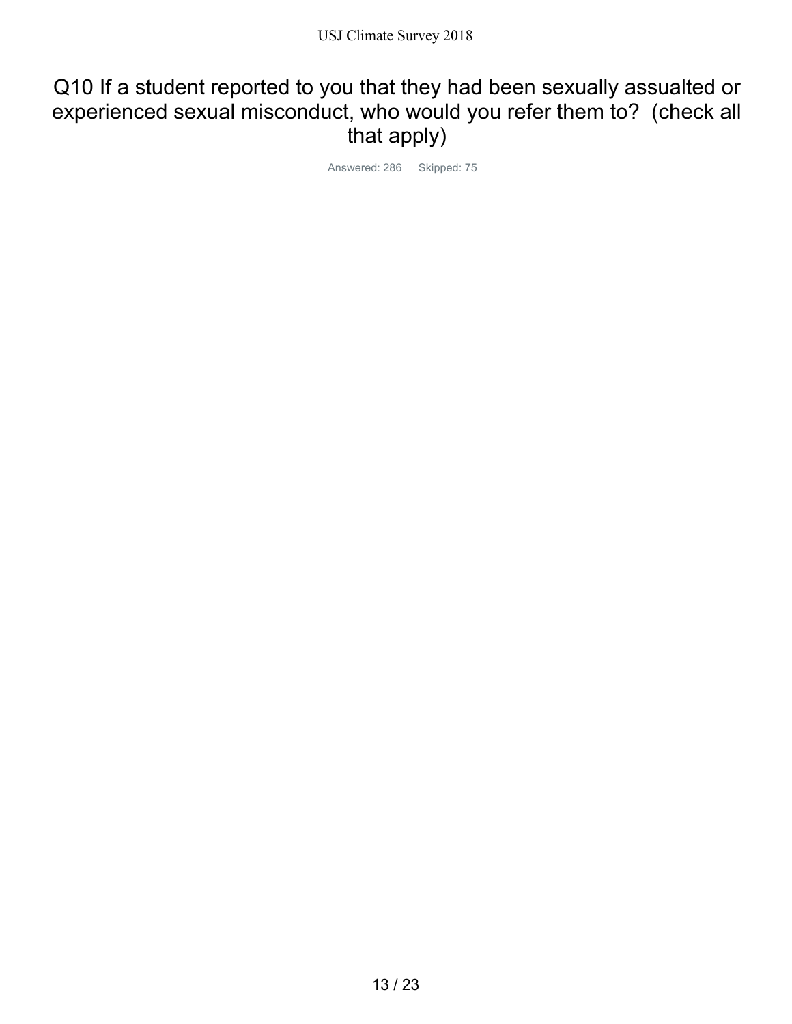### Q10 If a student reported to you that they had been sexually assualted or experienced sexual misconduct, who would you refer them to? (check all that apply)

Answered: 286 Skipped: 75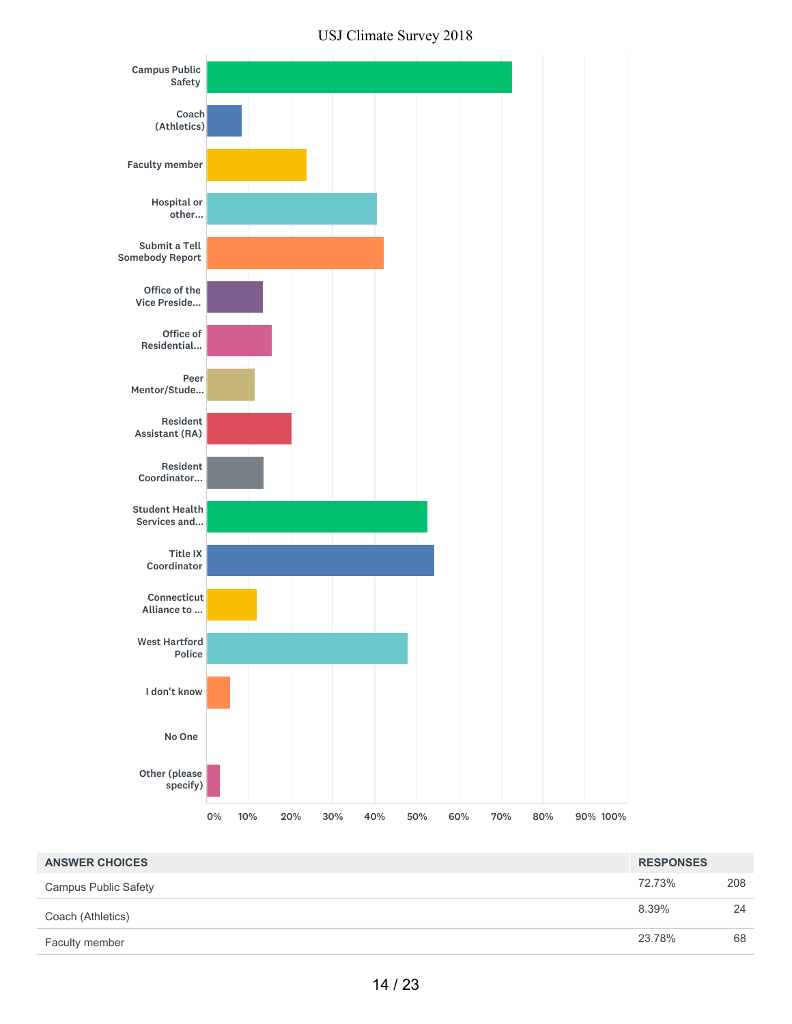



| <b>ANSWER CHOICES</b>       | <b>RESPONSES</b> |     |
|-----------------------------|------------------|-----|
| <b>Campus Public Safety</b> | 72.73%           | 208 |
| Coach (Athletics)           | 8.39%            | 24  |
| Faculty member              | 23.78%           | 68  |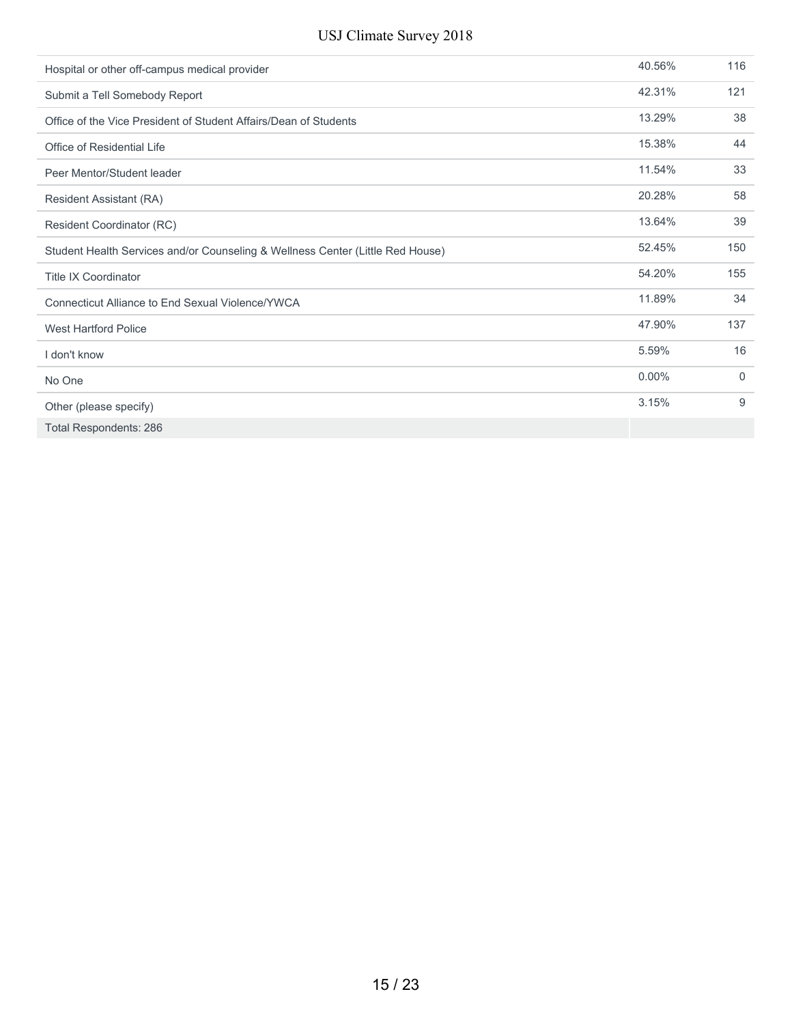| Hospital or other off-campus medical provider                                  | 40.56%   | 116 |
|--------------------------------------------------------------------------------|----------|-----|
| Submit a Tell Somebody Report                                                  | 42.31%   | 121 |
| Office of the Vice President of Student Affairs/Dean of Students               | 13.29%   | 38  |
| Office of Residential Life                                                     | 15.38%   | 44  |
| Peer Mentor/Student leader                                                     | 11.54%   | 33  |
| Resident Assistant (RA)                                                        | 20.28%   | 58  |
| Resident Coordinator (RC)                                                      | 13.64%   | 39  |
| Student Health Services and/or Counseling & Wellness Center (Little Red House) | 52.45%   | 150 |
| <b>Title IX Coordinator</b>                                                    | 54.20%   | 155 |
| Connecticut Alliance to End Sexual Violence/YWCA                               | 11.89%   | 34  |
| <b>West Hartford Police</b>                                                    | 47.90%   | 137 |
| I don't know                                                                   | 5.59%    | 16  |
| No One                                                                         | $0.00\%$ | 0   |
| Other (please specify)                                                         | 3.15%    | 9   |
| <b>Total Respondents: 286</b>                                                  |          |     |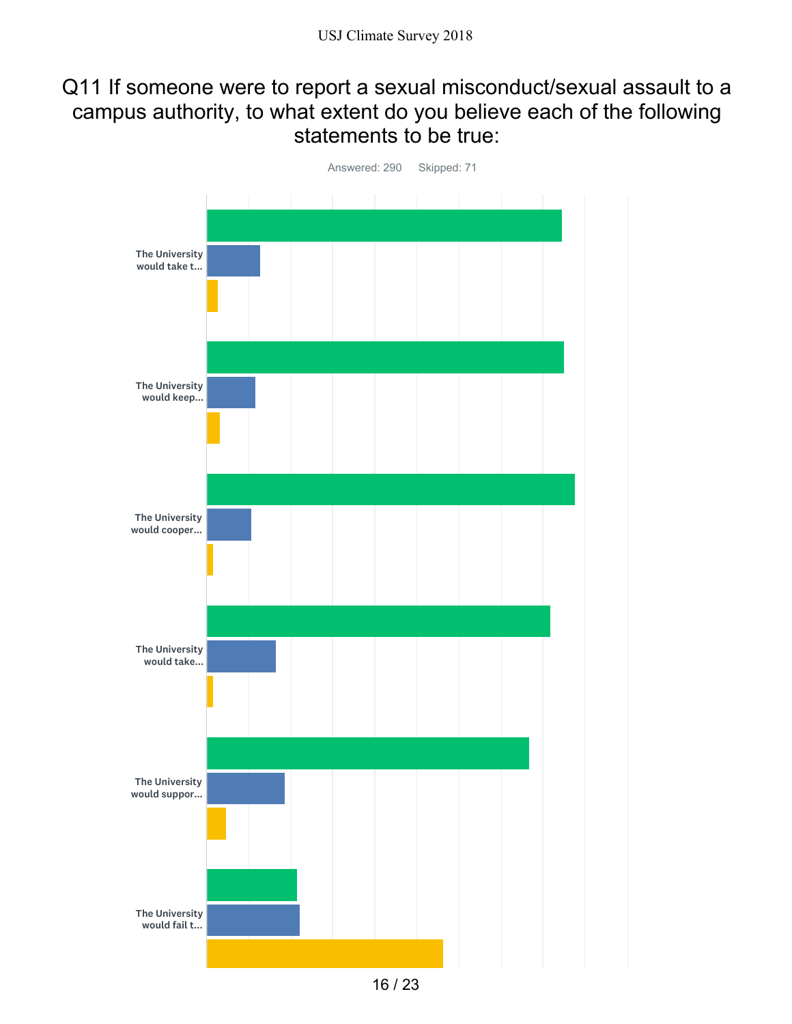### Q11 If someone were to report a sexual misconduct/sexual assault to a campus authority, to what extent do you believe each of the following statements to be true:



<sup>16</sup> / 23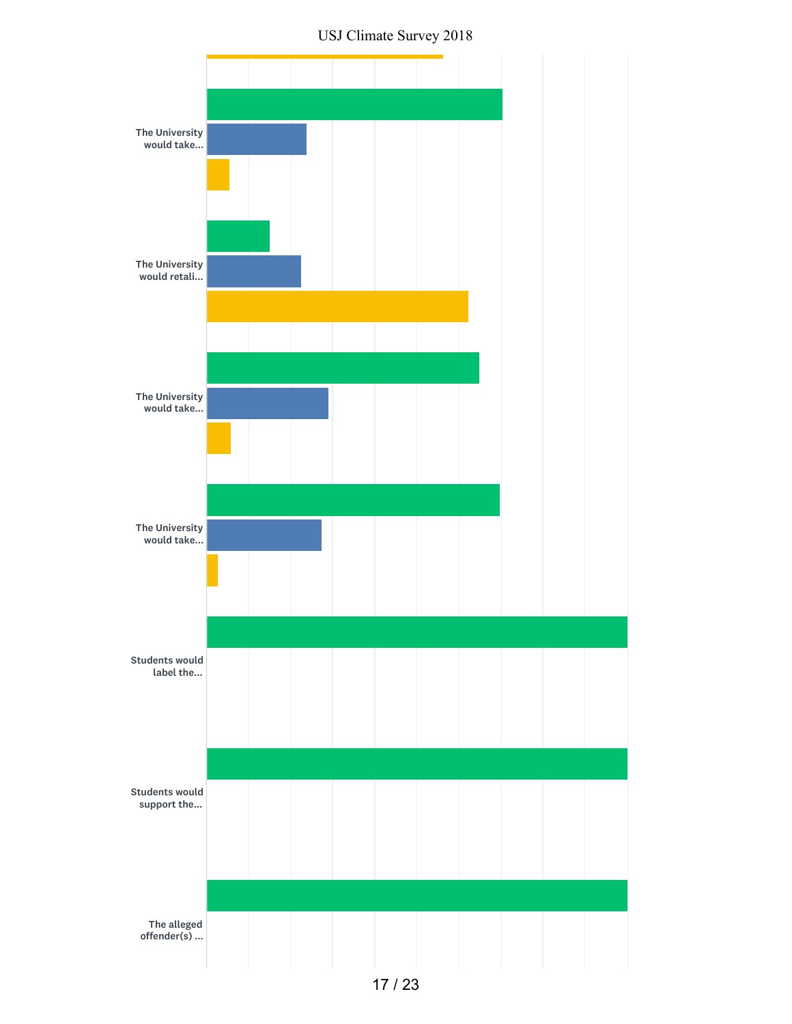USJ Climate Survey 2018

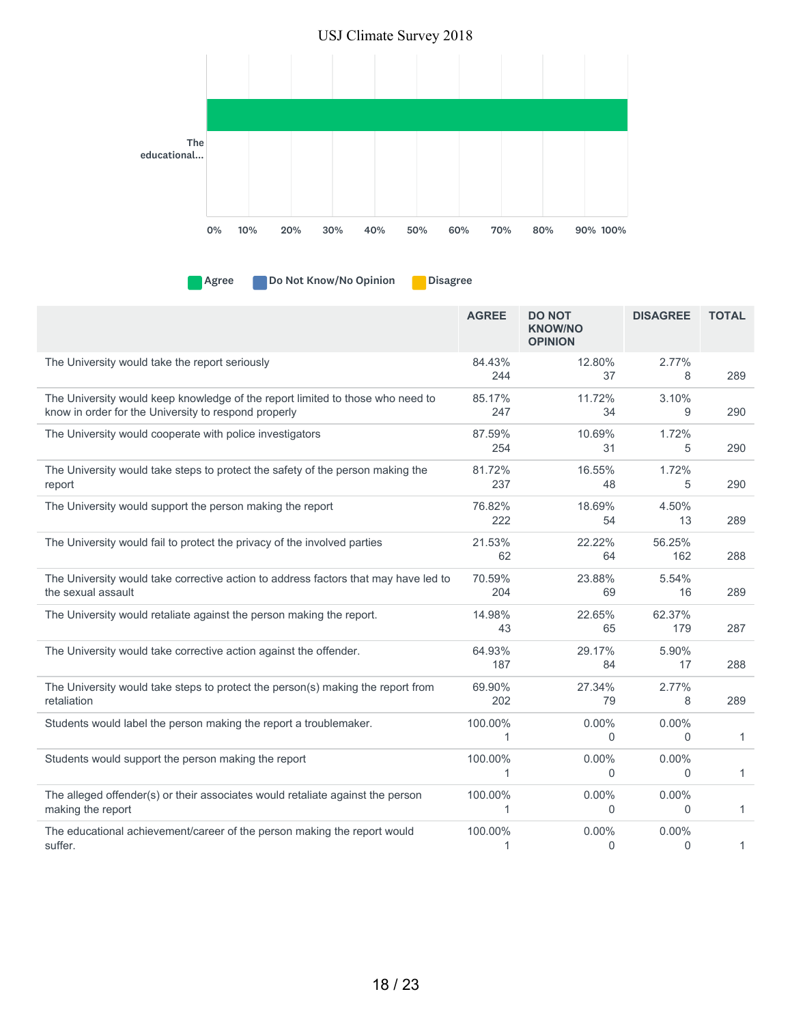

| <b>Agree</b> | Do No |  |
|--------------|-------|--|
|              |       |  |

ot Know/No Opinion **Disagree** 

|                                                                                                                                        | <b>AGREE</b>  | <b>DO NOT</b><br><b>KNOW/NO</b><br><b>OPINION</b> | <b>DISAGREE</b>            | <b>TOTAL</b> |
|----------------------------------------------------------------------------------------------------------------------------------------|---------------|---------------------------------------------------|----------------------------|--------------|
| The University would take the report seriously                                                                                         | 84.43%<br>244 | 12.80%<br>37                                      | 2.77%<br>8                 | 289          |
| The University would keep knowledge of the report limited to those who need to<br>know in order for the University to respond properly | 85.17%<br>247 | 11.72%<br>34                                      | 3.10%<br>9                 | 290          |
| The University would cooperate with police investigators                                                                               | 87.59%<br>254 | 10.69%<br>31                                      | 1.72%<br>5                 | 290          |
| The University would take steps to protect the safety of the person making the<br>report                                               | 81.72%<br>237 | 16.55%<br>48                                      | 1.72%<br>5                 | 290          |
| The University would support the person making the report                                                                              | 76.82%<br>222 | 18.69%<br>54                                      | 4.50%<br>13                | 289          |
| The University would fail to protect the privacy of the involved parties                                                               | 21.53%<br>62  | 22.22%<br>64                                      | 56.25%<br>162              | 288          |
| The University would take corrective action to address factors that may have led to<br>the sexual assault                              | 70.59%<br>204 | 23.88%<br>69                                      | 5.54%<br>16                | 289          |
| The University would retaliate against the person making the report.                                                                   | 14.98%<br>43  | 22.65%<br>65                                      | 62.37%<br>179              | 287          |
| The University would take corrective action against the offender.                                                                      | 64.93%<br>187 | 29.17%<br>84                                      | 5.90%<br>17                | 288          |
| The University would take steps to protect the person(s) making the report from<br>retaliation                                         | 69.90%<br>202 | 27.34%<br>79                                      | 2.77%<br>8                 | 289          |
| Students would label the person making the report a troublemaker.                                                                      | 100.00%<br>1  | $0.00\%$<br>$\Omega$                              | 0.00%<br>$\Omega$          | 1            |
| Students would support the person making the report                                                                                    | 100.00%<br>1  | $0.00\%$<br>0                                     | $0.00\%$<br>$\overline{0}$ | 1            |
| The alleged offender(s) or their associates would retaliate against the person<br>making the report                                    | 100.00%<br>1  | $0.00\%$<br>0                                     | $0.00\%$<br>$\Omega$       | 1            |
| The educational achievement/career of the person making the report would<br>suffer.                                                    | 100.00%<br>1  | $0.00\%$<br>$\Omega$                              | $0.00\%$<br>$\Omega$       | 1            |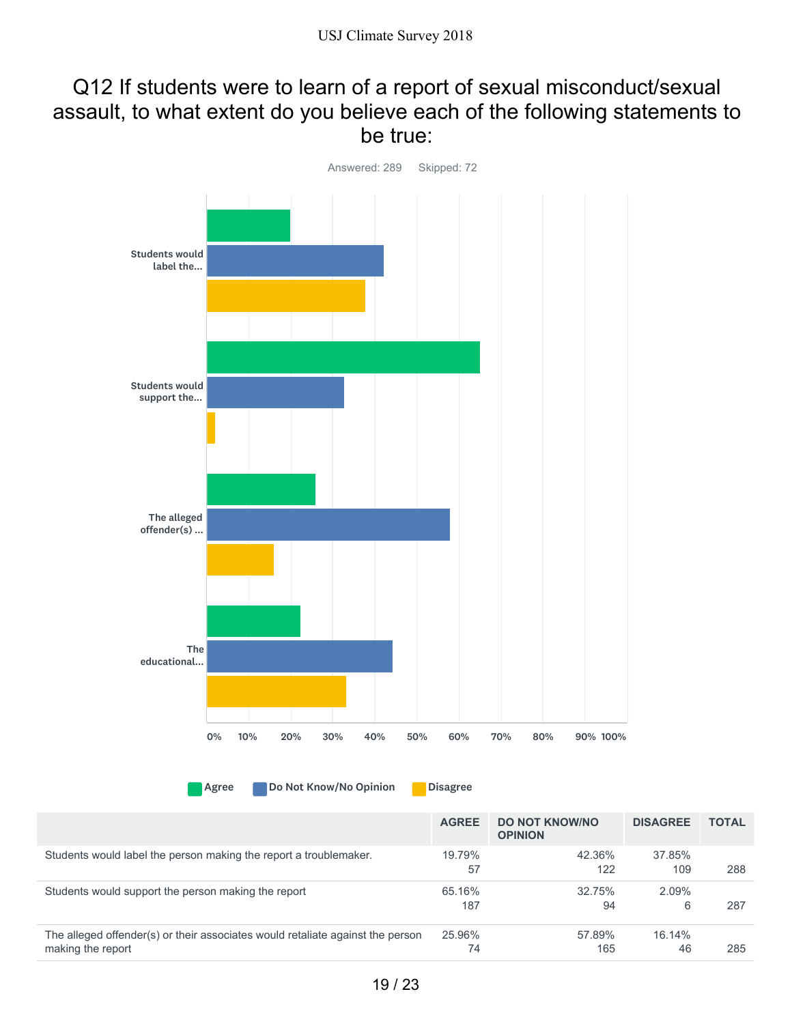### Q12 If students were to learn of a report of sexual misconduct/sexual assault, to what extent do you believe each of the following statements to be true:



Agree Do Not Know/No Opinion Disagree

|                                                                                                     | <b>AGREE</b>  | <b>DO NOT KNOW/NO</b><br><b>OPINION</b> | <b>DISAGREE</b> | <b>TOTAL</b> |
|-----------------------------------------------------------------------------------------------------|---------------|-----------------------------------------|-----------------|--------------|
| Students would label the person making the report a troublemaker.                                   | 19.79%<br>57  | 42.36%<br>122                           | 37.85%<br>109   | 288          |
| Students would support the person making the report                                                 | 65.16%<br>187 | 32.75%<br>94                            | 2.09%<br>6      | 287          |
| The alleged offender(s) or their associates would retaliate against the person<br>making the report | 25.96%<br>74  | 57.89%<br>165                           | 16.14%<br>46    | 285          |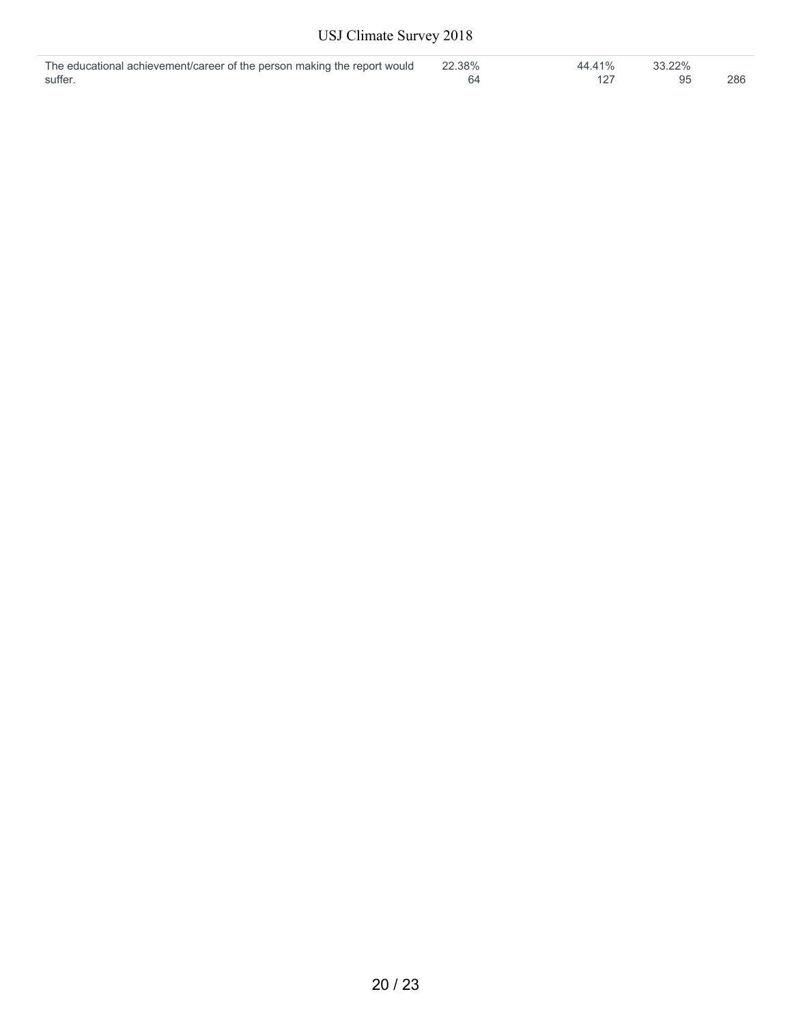| The educational achievement/career of the person making the report would | 22.38% | 44.41% | 33.22% |     |
|--------------------------------------------------------------------------|--------|--------|--------|-----|
| suffer                                                                   |        |        |        | 286 |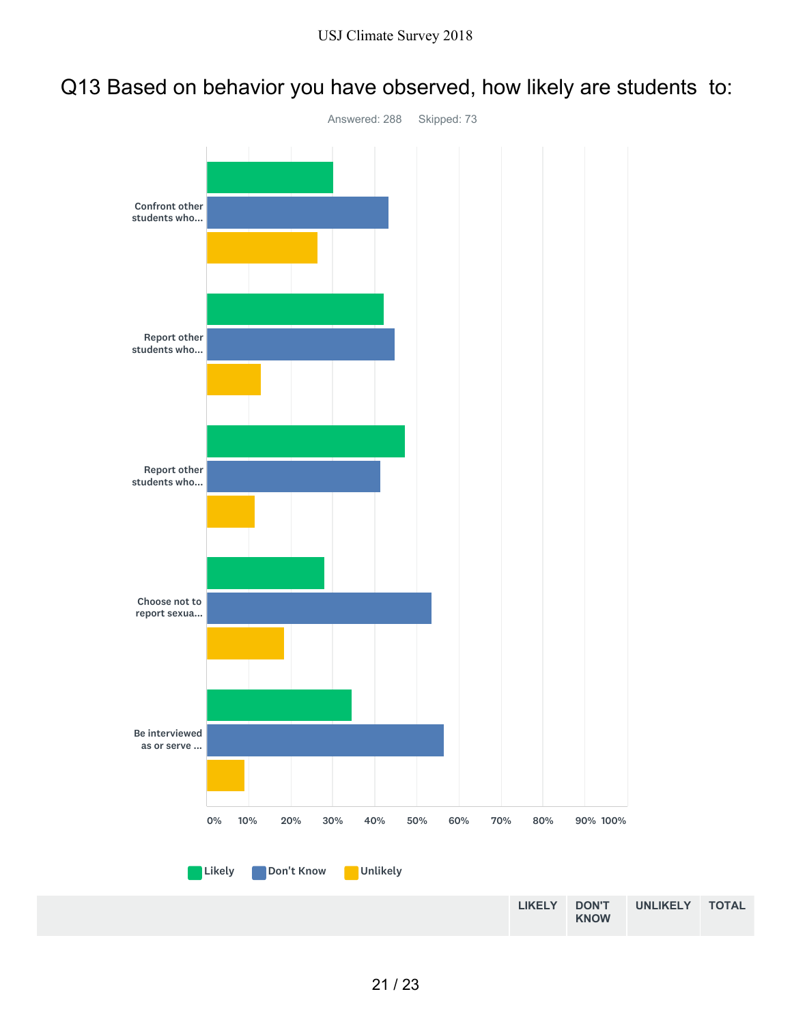## Q13 Based on behavior you have observed, how likely are students to:

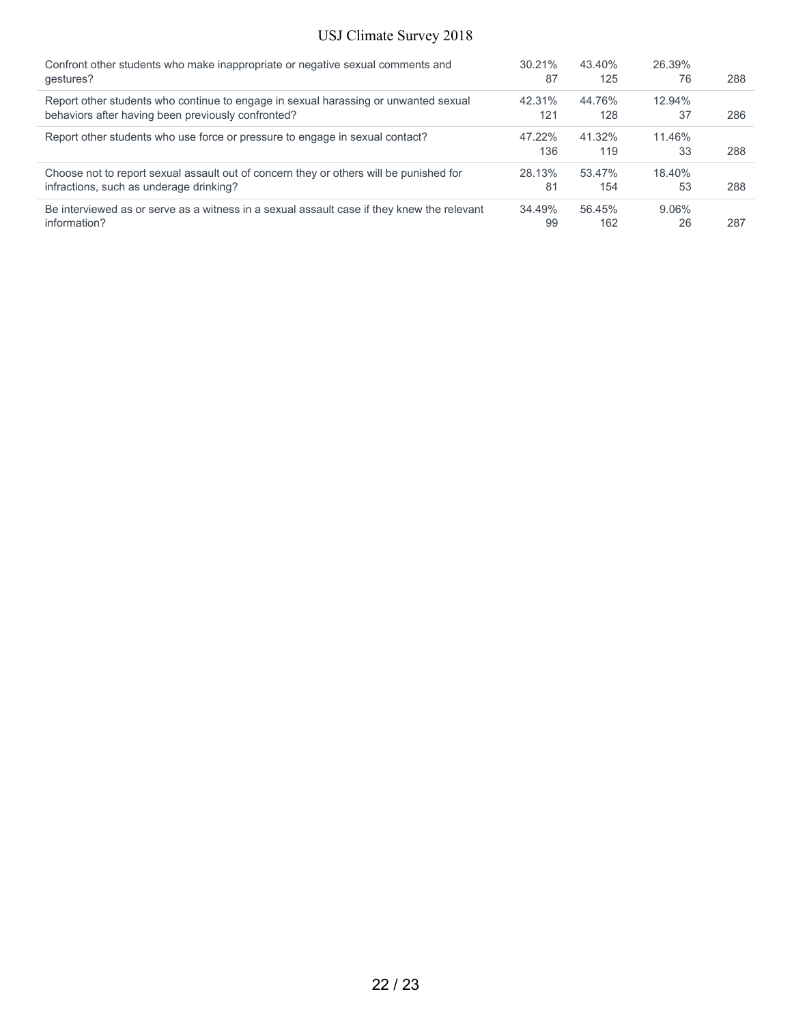| Confront other students who make inappropriate or negative sexual comments and             | 30.21% | 43.40% | 26.39%   |     |
|--------------------------------------------------------------------------------------------|--------|--------|----------|-----|
| qestures?                                                                                  | 87     | 125    | 76       | 288 |
| Report other students who continue to engage in sexual harassing or unwanted sexual        | 42.31% | 44.76% | 12.94%   |     |
| behaviors after having been previously confronted?                                         | 121    | 128    | 37       | 286 |
| Report other students who use force or pressure to engage in sexual contact?               | 47.22% | 41.32% | 11.46%   |     |
|                                                                                            | 136    | 119    | 33       | 288 |
| Choose not to report sexual assault out of concern they or others will be punished for     | 28.13% | 53.47% | 18.40%   |     |
| infractions, such as underage drinking?                                                    | 81     | 154    | 53       | 288 |
| Be interviewed as or serve as a witness in a sexual assault case if they knew the relevant | 34.49% | 56.45% | $9.06\%$ |     |
| information?                                                                               | 99     | 162    | 26       | 287 |